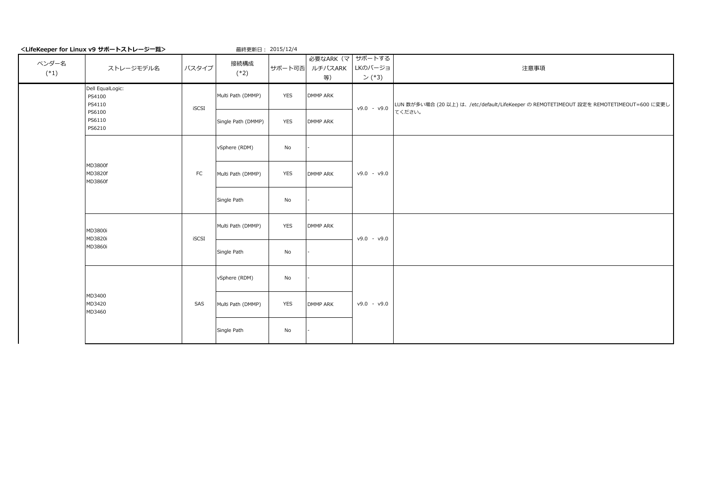|                 | <lifekeeper for="" linux="" v9="" サポートストレージ一覧=""></lifekeeper> |       | 最終更新日: 2015/12/4   |            |                            |                          |                                                                                         |
|-----------------|----------------------------------------------------------------|-------|--------------------|------------|----------------------------|--------------------------|-----------------------------------------------------------------------------------------|
| ベンダー名<br>$(*1)$ | ストレージモデル名                                                      | バスタイプ | 接続構成<br>$(*2)$     | サポート可否     | 必要なARK (マ<br>ルチパスARK<br>等) | サポートする<br>LKのバージョ<br>(3) | 注意事項                                                                                    |
|                 | Dell EqualLogic:<br>PS4100<br>PS4110                           | iSCSI | Multi Path (DMMP)  | <b>YES</b> | <b>DMMP ARK</b>            | $v9.0 - v9.0$            | LUN 数が多い場合 (20 以上) は、/etc/default/LifeKeeper の REMOTETIMEOUT 設定を REMOTETIMEOUT=600 に変更し |
|                 | PS6100<br>PS6110<br>PS6210                                     |       | Single Path (DMMP) | <b>YES</b> | <b>DMMP ARK</b>            |                          | てください。                                                                                  |
|                 | MD3800f<br>MD3820f<br>MD3860f                                  |       | vSphere (RDM)      | No         |                            | $v9.0 - v9.0$            |                                                                                         |
|                 |                                                                | FC    | Multi Path (DMMP)  | <b>YES</b> | <b>DMMP ARK</b>            |                          |                                                                                         |
|                 |                                                                |       | Single Path        | No         |                            |                          |                                                                                         |
|                 | MD3800i<br>MD3820i                                             | iSCSI | Multi Path (DMMP)  | <b>YES</b> | DMMP ARK                   | $v9.0 - v9.0$            |                                                                                         |
|                 | MD3860i                                                        |       | Single Path        | No         |                            |                          |                                                                                         |
|                 | MD3400<br>MD3420<br>MD3460                                     | SAS   | vSphere (RDM)      | No         |                            | $v9.0 - v9.0$            |                                                                                         |
|                 |                                                                |       | Multi Path (DMMP)  | <b>YES</b> | <b>DMMP ARK</b>            |                          |                                                                                         |
|                 |                                                                |       | Single Path        | No         |                            |                          |                                                                                         |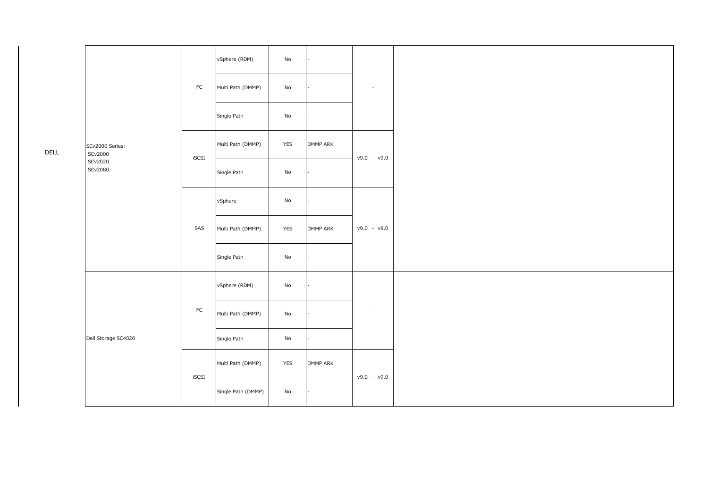|                    |                            |             | vSphere (RDM)                | $\operatorname{\mathsf{No}}$ |                 |                          |  |
|--------------------|----------------------------|-------------|------------------------------|------------------------------|-----------------|--------------------------|--|
|                    | SCv2000 Series:<br>SCv2000 | ${\sf FC}$  | Multi Path (DMMP)            | No                           |                 | $\overline{\phantom{a}}$ |  |
|                    |                            |             | Single Path                  | No                           |                 |                          |  |
| DELL               |                            | iSCSI       | Multi Path (DMMP)            | YES                          | DMMP ARK        | $v9.0 - v9.0$            |  |
| SCv2020<br>SCv2080 |                            | Single Path | $\operatorname{\mathsf{No}}$ |                              |                 |                          |  |
|                    |                            | SAS         | vSphere                      | No                           |                 | $v9.0 - v9.0$            |  |
|                    |                            |             | Multi Path (DMMP)            | ${\tt YES}$                  | DMMP ARK        |                          |  |
|                    |                            |             | Single Path                  | No                           |                 |                          |  |
|                    |                            |             | vSphere (RDM)                | $\operatorname{\mathsf{No}}$ |                 |                          |  |
|                    |                            | ${\sf FC}$  | Multi Path (DMMP)            | No                           |                 | $\overline{\phantom{a}}$ |  |
|                    | Dell Storage SC4020        |             | Single Path                  | No                           |                 |                          |  |
|                    |                            | $iSCSI$     | Multi Path (DMMP)            | YES                          | <b>DMMP ARK</b> | $v9.0 - v9.0$            |  |
|                    |                            |             | Single Path (DMMP)           | No                           |                 |                          |  |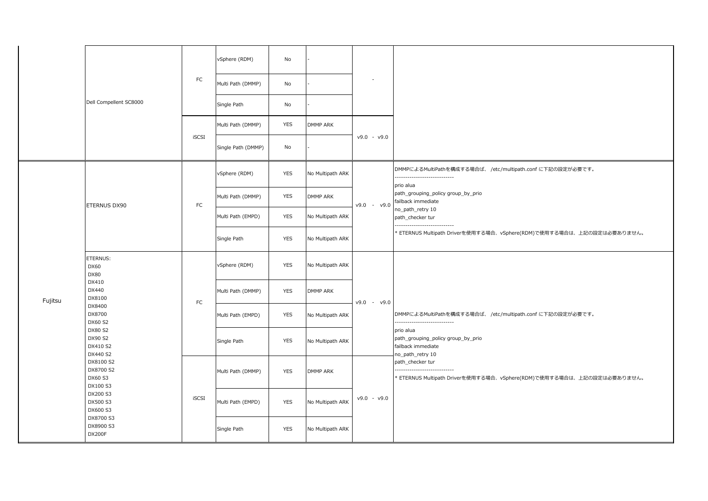|                  |                                                                      |                   | vSphere (RDM)      | No              |                  |                                                                       |                                                                                           |
|------------------|----------------------------------------------------------------------|-------------------|--------------------|-----------------|------------------|-----------------------------------------------------------------------|-------------------------------------------------------------------------------------------|
|                  | Dell Compellent SC8000                                               | FC                | Multi Path (DMMP)  | No              |                  |                                                                       |                                                                                           |
|                  |                                                                      |                   | Single Path        | No              |                  |                                                                       |                                                                                           |
|                  |                                                                      | iSCSI             | Multi Path (DMMP)  | <b>YES</b>      | DMMP ARK         |                                                                       |                                                                                           |
|                  |                                                                      |                   | Single Path (DMMP) | No              |                  | $v9.0 - v9.0$                                                         |                                                                                           |
|                  |                                                                      |                   | vSphere (RDM)      | YES             | No Multipath ARK |                                                                       | DMMPによるMultiPathを構成する場合ば、 /etc/multipath.conf に下記の設定が必要です。<br>--------------------------- |
| ETERNUS DX90     | ${\sf FC}$                                                           | Multi Path (DMMP) | <b>YES</b>         | <b>DMMP ARK</b> | $v9.0 - v9.0$    | prio alua<br>path_grouping_policy group_by_prio<br>failback immediate |                                                                                           |
|                  |                                                                      |                   | Multi Path (EMPD)  | <b>YES</b>      | No Multipath ARK |                                                                       | no_path_retry 10<br>path checker tur                                                      |
|                  |                                                                      |                   | Single Path        | <b>YES</b>      | No Multipath ARK |                                                                       | ETERNUS Multipath Driverを使用する場合、vSphere(RDM)で使用する場合は、上記の設定は必要ありません。                       |
| ETERNUS:<br>DX60 | <b>DX80</b>                                                          |                   | vSphere (RDM)      | <b>YES</b>      | No Multipath ARK |                                                                       |                                                                                           |
| Fujitsu          | DX410<br>DX440<br>DX8100                                             | FC                | Multi Path (DMMP)  | <b>YES</b>      | DMMP ARK         | $v9.0 - v9.0$                                                         |                                                                                           |
|                  | DX8400<br>DX8700<br>DX60 S2                                          |                   | Multi Path (EMPD)  | <b>YES</b>      | No Multipath ARK |                                                                       | DMMPによるMultiPathを構成する場合ば、 /etc/multipath.conf に下記の設定が必要です。<br>--------------------------- |
|                  | DX80 S2<br>DX90 S2<br>DX410 S2<br>DX440 S2                           |                   | Single Path        | <b>YES</b>      | No Multipath ARK |                                                                       | prio alua<br>path_grouping_policy group_by_prio<br>failback immediate<br>no_path_retry 10 |
|                  | DX8100 S2<br>DX8700 S2<br>DX60 S3<br>DX100 S3                        |                   | Multi Path (DMMP)  | <b>YES</b>      | <b>DMMP ARK</b>  |                                                                       | path_checker tur<br>ETERNUS Multipath Driverを使用する場合、vSphere(RDM)で使用する場合は、上記の設定は必要ありません。   |
|                  | DX200 S3<br>DX500 S3<br>DX600 S3<br>DX8700 S3<br>DX8900 S3<br>DX200F | iSCSI             | Multi Path (EMPD)  | YES             | No Multipath ARK | $v9.0 - v9.0$                                                         |                                                                                           |
|                  |                                                                      |                   | Single Path        | <b>YES</b>      | No Multipath ARK |                                                                       |                                                                                           |

┕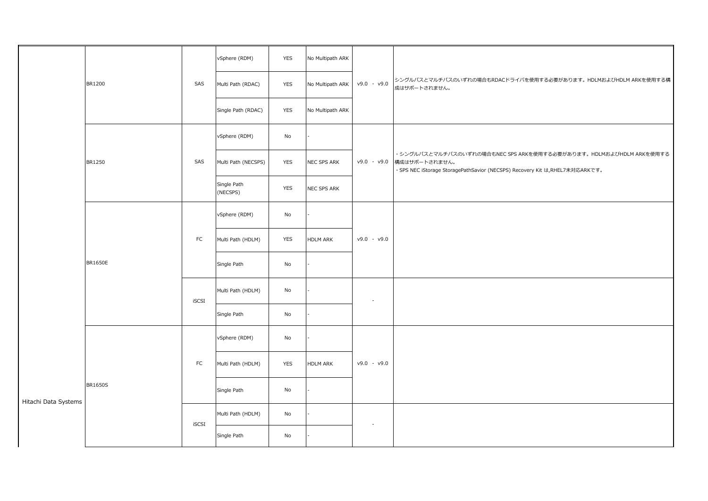|                      |                |            | vSphere (RDM)           | <b>YES</b>                   | No Multipath ARK |                          |                                                                                                                                                                   |
|----------------------|----------------|------------|-------------------------|------------------------------|------------------|--------------------------|-------------------------------------------------------------------------------------------------------------------------------------------------------------------|
|                      | BR1200         | SAS        | Multi Path (RDAC)       | <b>YES</b>                   | No Multipath ARK | $v9.0 - v9.0$            | シングルパスとマルチパスのいずれの場合もRDACドライバを使用する必要があります。HDLMおよびHDLM ARKを使用する構<br>成はサポートされません。                                                                                    |
|                      |                |            | Single Path (RDAC)      | <b>YES</b>                   | No Multipath ARK |                          |                                                                                                                                                                   |
|                      |                |            | vSphere (RDM)           | $\operatorname{\mathsf{No}}$ |                  |                          |                                                                                                                                                                   |
|                      | BR1250         | SAS        | Multi Path (NECSPS)     | <b>YES</b>                   | NEC SPS ARK      | $v9.0 - v9.0$            | ・シングルパスとマルチパスのいずれの場合もNEC SPS ARKを使用する必要があります。HDLMおよびHDLM ARKを使用する<br>構成はサポートされません。<br>· SPS NEC iStorage StoragePathSavior (NECSPS) Recovery Kit は,RHEL7未対応ARKです。 |
|                      |                |            | Single Path<br>(NECSPS) | <b>YES</b>                   | NEC SPS ARK      |                          |                                                                                                                                                                   |
|                      |                | ${\sf FC}$ | vSphere (RDM)           | No                           |                  |                          |                                                                                                                                                                   |
|                      |                |            | Multi Path (HDLM)       | <b>YES</b>                   | <b>HDLM ARK</b>  | $v9.0 - v9.0$            |                                                                                                                                                                   |
|                      | <b>BR1650E</b> |            | Single Path             | No                           |                  |                          |                                                                                                                                                                   |
|                      |                | iSCSI      | Multi Path (HDLM)       | No                           |                  | $\overline{\phantom{a}}$ |                                                                                                                                                                   |
|                      |                |            | Single Path             | No                           |                  |                          |                                                                                                                                                                   |
|                      |                |            | vSphere (RDM)           | No                           |                  |                          |                                                                                                                                                                   |
|                      |                | FC         | Multi Path (HDLM)       | <b>YES</b>                   | <b>HDLM ARK</b>  | $v9.0 - v9.0$            |                                                                                                                                                                   |
| Hitachi Data Systems | <b>BR1650S</b> |            | Single Path             | No                           |                  |                          |                                                                                                                                                                   |
|                      |                | iSCSI      | Multi Path (HDLM)       | No                           |                  | ä,                       |                                                                                                                                                                   |
|                      |                |            | Single Path             | No                           |                  |                          |                                                                                                                                                                   |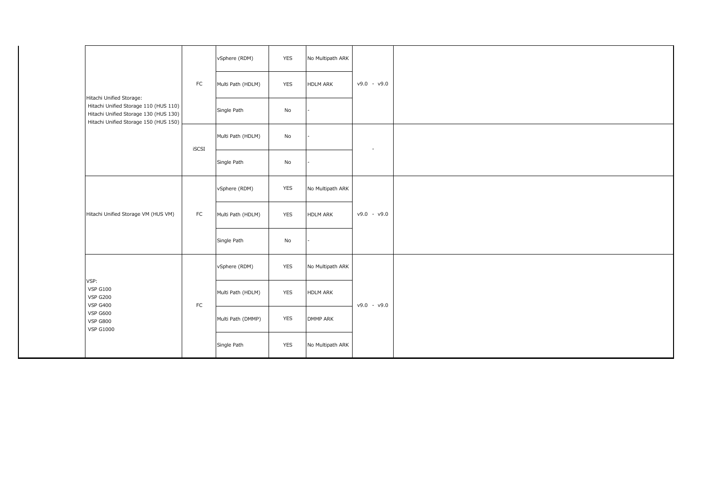|                                                                                                                                                     | ${\sf FC}$ | vSphere (RDM)     | YES        | No Multipath ARK |                          |  |
|-----------------------------------------------------------------------------------------------------------------------------------------------------|------------|-------------------|------------|------------------|--------------------------|--|
|                                                                                                                                                     |            | Multi Path (HDLM) | YES        | <b>HDLM ARK</b>  | $v9.0 - v9.0$            |  |
| Hitachi Unified Storage:<br>Hitachi Unified Storage 110 (HUS 110)<br>Hitachi Unified Storage 130 (HUS 130)<br>Hitachi Unified Storage 150 (HUS 150) |            | Single Path       | No         |                  |                          |  |
|                                                                                                                                                     | iSCSI      | Multi Path (HDLM) | No         |                  | $\overline{\phantom{a}}$ |  |
|                                                                                                                                                     |            | Single Path       | No         |                  |                          |  |
|                                                                                                                                                     | ${\sf FC}$ | vSphere (RDM)     | <b>YES</b> | No Multipath ARK |                          |  |
| Hitachi Unified Storage VM (HUS VM)                                                                                                                 |            | Multi Path (HDLM) | <b>YES</b> | <b>HDLM ARK</b>  | $v9.0 - v9.0$            |  |
|                                                                                                                                                     |            | Single Path       | No         |                  |                          |  |
|                                                                                                                                                     |            | vSphere (RDM)     | <b>YES</b> | No Multipath ARK |                          |  |
| VSP:<br><b>VSP G100</b><br><b>VSP G200</b><br><b>VSP G400</b>                                                                                       | ${\sf FC}$ | Multi Path (HDLM) | <b>YES</b> | HDLM ARK         | $v9.0 - v9.0$            |  |
| <b>VSP G600</b><br><b>VSP G800</b><br><b>VSP G1000</b>                                                                                              |            | Multi Path (DMMP) | <b>YES</b> | DMMP ARK         |                          |  |
|                                                                                                                                                     |            | Single Path       | <b>YES</b> | No Multipath ARK |                          |  |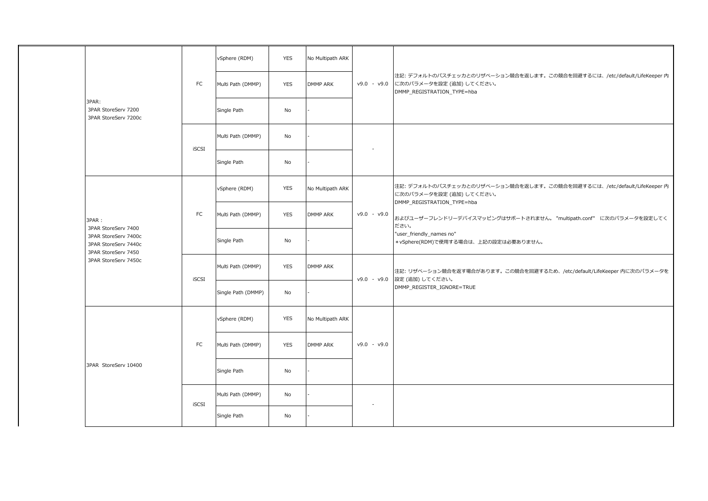|  |                                                                                             |              | vSphere (RDM)      | <b>YES</b> | No Multipath ARK |               |                                                                                                                                  |
|--|---------------------------------------------------------------------------------------------|--------------|--------------------|------------|------------------|---------------|----------------------------------------------------------------------------------------------------------------------------------|
|  |                                                                                             | FC           | Multi Path (DMMP)  | <b>YES</b> | <b>DMMP ARK</b>  | $v9.0 - v9.0$ | 注記: デフォルトのパスチェッカとのリザベーション競合を返します。この競合を回避するには、/etc/default/LifeKeeper 内<br>に次のパラメータを設定 (追加) してください。<br>DMMP_REGISTRATION_TYPE=hba |
|  | 3PAR:<br>3PAR StoreServ 7200<br>3PAR StoreServ 7200c                                        |              | Single Path        | No         |                  |               |                                                                                                                                  |
|  |                                                                                             | iSCSI        | Multi Path (DMMP)  | No         |                  |               |                                                                                                                                  |
|  |                                                                                             |              | Single Path        | No         |                  |               |                                                                                                                                  |
|  |                                                                                             |              | vSphere (RDM)      | <b>YES</b> | No Multipath ARK |               | 注記: デフォルトのパスチェッカとのリザベーション競合を返します。この競合を回避するには、/etc/default/LifeKeeper 内<br>に次のパラメータを設定 (追加)してください。<br>DMMP_REGISTRATION_TYPE=hba  |
|  | 3PAR:<br>3PAR StoreServ 7400                                                                | FC           | Multi Path (DMMP)  | <b>YES</b> | <b>DMMP ARK</b>  | $v9.0 - v9.0$ | およびユーザーフレンドリーデバイスマッピングはサポートされません。 "multipath.conf" に次のパラメータを設定してく<br>ださい。                                                        |
|  | 3PAR StoreServ 7400c<br>3PAR StoreServ 7440c<br>3PAR StoreServ 7450<br>3PAR StoreServ 7450c |              | Single Path        | No         |                  |               | "user_friendly_names no"<br>* vSphere(RDM)で使用する場合は、上記の設定は必要ありません。                                                                |
|  |                                                                                             | iSCSI        | Multi Path (DMMP)  | <b>YES</b> | <b>DMMP ARK</b>  | $v9.0 - v9.0$ | 注記: リザベーション競合を返す場合があります。この競合を回避するため、/etc/default/LifeKeeper 内に次のパラメータを<br>設定 (追加) してください。                                        |
|  |                                                                                             |              | Single Path (DMMP) | No         |                  |               | DMMP_REGISTER_IGNORE=TRUE                                                                                                        |
|  |                                                                                             |              | vSphere (RDM)      | <b>YES</b> | No Multipath ARK |               |                                                                                                                                  |
|  |                                                                                             | ${\sf FC}$   | Multi Path (DMMP)  | <b>YES</b> | <b>DMMP ARK</b>  | $v9.0 - v9.0$ |                                                                                                                                  |
|  | 3PAR StoreServ 10400                                                                        |              | Single Path        | No         |                  |               |                                                                                                                                  |
|  |                                                                                             | <b>iSCSI</b> | Multi Path (DMMP)  | No         |                  |               |                                                                                                                                  |
|  |                                                                                             |              | Single Path        | No         |                  |               |                                                                                                                                  |
|  |                                                                                             |              |                    |            |                  |               |                                                                                                                                  |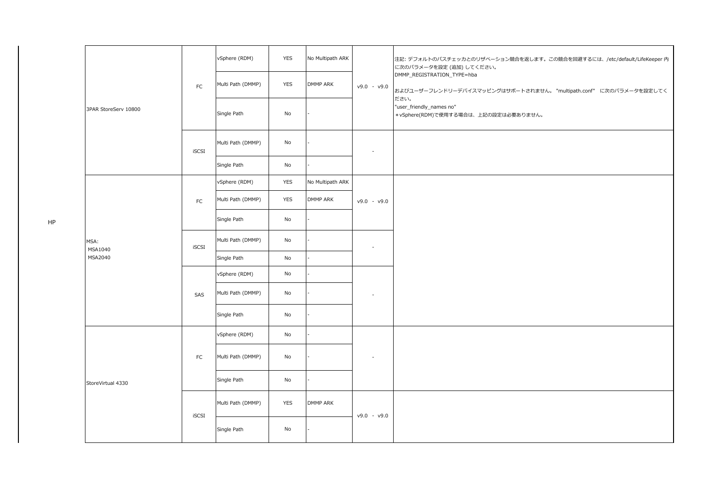|                      |              | vSphere (RDM)     | <b>YES</b> | No Multipath ARK |                          | 注記: デフォルトのパスチェッカとのリザベーション競合を返します。この競合を回避するには、/etc/default/LifeKeeper 内<br>に次のパラメータを設定 (追加) してください。 |
|----------------------|--------------|-------------------|------------|------------------|--------------------------|----------------------------------------------------------------------------------------------------|
|                      | ${\sf FC}$   | Multi Path (DMMP) | <b>YES</b> | DMMP ARK         | $v9.0 - v9.0$            | DMMP_REGISTRATION_TYPE=hba<br>およびユーザーフレンドリーデバイスマッピングはサポートされません。 "multipath.conf" に次のパラメータを設定してく    |
| 3PAR StoreServ 10800 |              | Single Path       | No         |                  |                          | ださい。<br>"user_friendly_names no"<br>* vSphere(RDM)で使用する場合は、上記の設定は必要ありません。                          |
|                      | iSCSI        | Multi Path (DMMP) | No         |                  | ٠                        |                                                                                                    |
|                      |              | Single Path       | No         |                  |                          |                                                                                                    |
|                      |              | vSphere (RDM)     | <b>YES</b> | No Multipath ARK |                          |                                                                                                    |
|                      | ${\sf FC}$   | Multi Path (DMMP) | <b>YES</b> | DMMP ARK         | $v9.0 - v9.0$            |                                                                                                    |
|                      |              | Single Path       | No         |                  |                          |                                                                                                    |
| MSA:<br>MSA1040      | <b>iSCSI</b> | Multi Path (DMMP) | No         |                  |                          |                                                                                                    |
| MSA2040              |              | Single Path       | No         |                  |                          |                                                                                                    |
|                      | SAS          | vSphere (RDM)     | No         |                  | ٠                        |                                                                                                    |
|                      |              | Multi Path (DMMP) | No         |                  |                          |                                                                                                    |
|                      |              | Single Path       | No         |                  |                          |                                                                                                    |
|                      |              | vSphere (RDM)     | No         |                  |                          |                                                                                                    |
|                      | ${\sf FC}$   | Multi Path (DMMP) | No         |                  | $\overline{\phantom{a}}$ |                                                                                                    |
| StoreVirtual 4330    |              | Single Path       | No         |                  |                          |                                                                                                    |
|                      | iSCSI        | Multi Path (DMMP) | <b>YES</b> | DMMP ARK         | $v9.0 - v9.0$            |                                                                                                    |
|                      |              | Single Path       | No         |                  |                          |                                                                                                    |

HP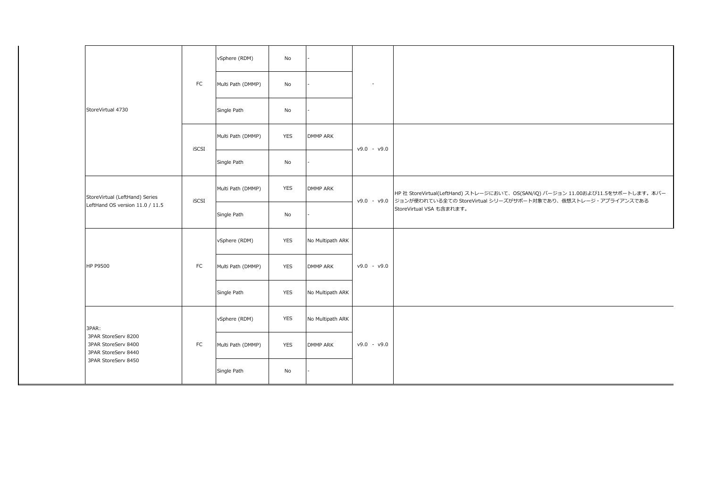|                                                                   |               | vSphere (RDM)     | No         |                  |               |                                                                                                                                                                                         |
|-------------------------------------------------------------------|---------------|-------------------|------------|------------------|---------------|-----------------------------------------------------------------------------------------------------------------------------------------------------------------------------------------|
|                                                                   | $\mathsf{FC}$ | Multi Path (DMMP) | No         |                  | $\sim$        |                                                                                                                                                                                         |
| StoreVirtual 4730                                                 |               | Single Path       | No         |                  |               |                                                                                                                                                                                         |
|                                                                   | iSCSI         | Multi Path (DMMP) | <b>YES</b> | DMMP ARK         | $v9.0 - v9.0$ |                                                                                                                                                                                         |
|                                                                   |               | Single Path       | No         |                  |               |                                                                                                                                                                                         |
| StoreVirtual (LeftHand) Series                                    | iSCSI         | Multi Path (DMMP) | <b>YES</b> | DMMP ARK         |               | HP 社 StoreVirtual(LeftHand) ストレージにおいて、OS(SAN/iQ) バージョン 11.00および11.5をサポートします。本バー<br>v9.0 - v9.0 ジョンが使われている全ての StoreVirtual シリーズがサポート対象であり、仮想ストレージ・アプライアンスである<br>StoreVirtual VSA も含まれます。 |
| LeftHand OS version 11.0 / 11.5                                   |               | Single Path       | No         |                  |               |                                                                                                                                                                                         |
|                                                                   |               | vSphere (RDM)     | <b>YES</b> | No Multipath ARK |               |                                                                                                                                                                                         |
| HP P9500                                                          | $\mathsf{FC}$ | Multi Path (DMMP) | <b>YES</b> | <b>DMMP ARK</b>  | $v9.0 - v9.0$ |                                                                                                                                                                                         |
|                                                                   |               | Single Path       | <b>YES</b> | No Multipath ARK |               |                                                                                                                                                                                         |
| 3PAR:                                                             |               | vSphere (RDM)     | <b>YES</b> | No Multipath ARK |               |                                                                                                                                                                                         |
| 3PAR StoreServ 8200<br>3PAR StoreServ 8400<br>3PAR StoreServ 8440 | ${\sf FC}$    | Multi Path (DMMP) | <b>YES</b> | <b>DMMP ARK</b>  | $v9.0 - v9.0$ |                                                                                                                                                                                         |
| 3PAR StoreServ 8450                                               |               | Single Path       | No         |                  |               |                                                                                                                                                                                         |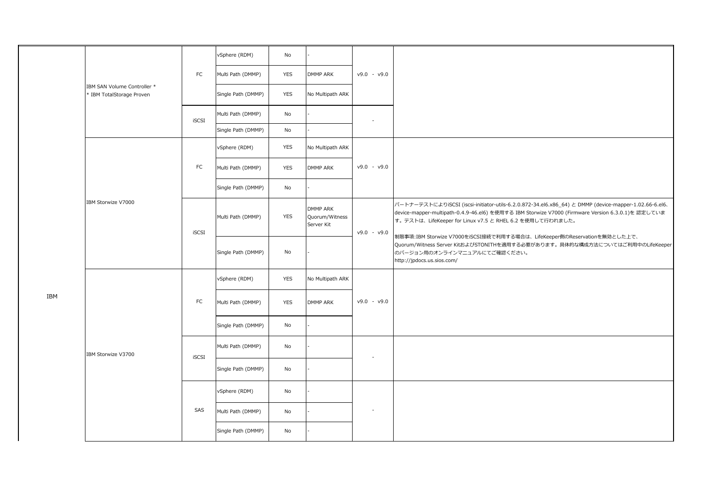|     |                                                          |              | vSphere (RDM)      | No         |                                          |               |                                                                                                                                                                                                                                                                                                                                                   |
|-----|----------------------------------------------------------|--------------|--------------------|------------|------------------------------------------|---------------|---------------------------------------------------------------------------------------------------------------------------------------------------------------------------------------------------------------------------------------------------------------------------------------------------------------------------------------------------|
|     | IBM SAN Volume Controller *<br>* IBM TotalStorage Proven | FC           | Multi Path (DMMP)  | <b>YES</b> | DMMP ARK                                 | $v9.0 - v9.0$ |                                                                                                                                                                                                                                                                                                                                                   |
|     |                                                          |              | Single Path (DMMP) | <b>YES</b> | No Multipath ARK                         |               |                                                                                                                                                                                                                                                                                                                                                   |
|     |                                                          | <b>iSCSI</b> | Multi Path (DMMP)  | No         |                                          |               |                                                                                                                                                                                                                                                                                                                                                   |
|     |                                                          |              | Single Path (DMMP) | No         |                                          |               |                                                                                                                                                                                                                                                                                                                                                   |
|     |                                                          |              | vSphere (RDM)      | <b>YES</b> | No Multipath ARK                         |               |                                                                                                                                                                                                                                                                                                                                                   |
|     |                                                          | FC           | Multi Path (DMMP)  | <b>YES</b> | DMMP ARK                                 | $v9.0 - v9.0$ |                                                                                                                                                                                                                                                                                                                                                   |
|     |                                                          |              | Single Path (DMMP) | No         |                                          |               |                                                                                                                                                                                                                                                                                                                                                   |
|     | IBM Storwize V7000                                       | iSCSI        | Multi Path (DMMP)  | <b>YES</b> | DMMP ARK<br>Quorum/Witness<br>Server Kit | $v9.0 - v9.0$ | パートナーテストによりiSCSI (iscsi-initiator-utils-6.2.0.872-34.el6.x86_64) と DMMP (device-mapper-1.02.66-6.el6、<br>device-mapper-multipath-0.4.9-46.el6) を使用する IBM Storwize V7000 (Firmware Version 6.3.0.1)を認定していま<br>す。テストは、LifeKeeper for Linux v7.5 と RHEL 6.2 を使用して行われました。<br>制限事項:IBM Storwize V7000をiSCSI接続で利用する場合は、LifeKeeper側のReservationを無効とした上で、 |
|     |                                                          |              | Single Path (DMMP) | No         |                                          |               | Quorum/Witness Server KitおよびSTONITHを適用する必要があります。具体的な構成方法についてはご利用中のLifeKeeper<br>のバージョン用のオンラインマニュアルにてご確認ください。<br>http://jpdocs.us.sios.com/                                                                                                                                                                                                        |
|     |                                                          | FC           | vSphere (RDM)      | <b>YES</b> | No Multipath ARK                         |               |                                                                                                                                                                                                                                                                                                                                                   |
| IBM |                                                          |              | Multi Path (DMMP)  | YES        | DMMP ARK                                 | $v9.0 - v9.0$ |                                                                                                                                                                                                                                                                                                                                                   |
|     |                                                          |              | Single Path (DMMP) | No         |                                          |               |                                                                                                                                                                                                                                                                                                                                                   |
|     | IBM Storwize V3700                                       | iSCSI        | Multi Path (DMMP)  | No         |                                          |               |                                                                                                                                                                                                                                                                                                                                                   |
|     |                                                          |              | Single Path (DMMP) | No         |                                          |               |                                                                                                                                                                                                                                                                                                                                                   |
|     |                                                          | SAS          | vSphere (RDM)      | No         |                                          |               |                                                                                                                                                                                                                                                                                                                                                   |
|     |                                                          |              | Multi Path (DMMP)  | No         |                                          |               |                                                                                                                                                                                                                                                                                                                                                   |
|     |                                                          |              | Single Path (DMMP) | No         |                                          |               |                                                                                                                                                                                                                                                                                                                                                   |
|     |                                                          |              |                    |            |                                          |               |                                                                                                                                                                                                                                                                                                                                                   |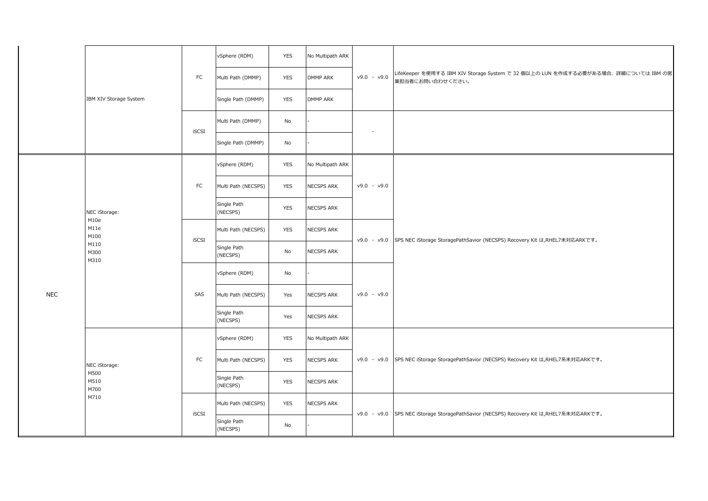|                                       |                        |              | vSphere (RDM)           | YES        | No Multipath ARK  |               |                                                                                                       |
|---------------------------------------|------------------------|--------------|-------------------------|------------|-------------------|---------------|-------------------------------------------------------------------------------------------------------|
|                                       |                        | FC           | Multi Path (DMMP)       | YES        | <b>DMMP ARK</b>   | $v9.0 - v9.0$ | LifeKeeper を使用する IBM XIV Storage System で 32 個以上の LUN を作成する必要がある場合、詳細については IBM の営<br>業担当者にお問い合わせください。 |
|                                       | IBM XIV Storage System |              | Single Path (DMMP)      | YES        | <b>DMMP ARK</b>   |               |                                                                                                       |
|                                       |                        | <b>iSCSI</b> | Multi Path (DMMP)       | No         |                   |               |                                                                                                       |
|                                       |                        |              | Single Path (DMMP)      | No         |                   |               |                                                                                                       |
|                                       |                        |              | vSphere (RDM)           | <b>YES</b> | No Multipath ARK  |               |                                                                                                       |
|                                       |                        | ${\sf FC}$   | Multi Path (NECSPS)     | <b>YES</b> | <b>NECSPS ARK</b> | $v9.0 - v9.0$ |                                                                                                       |
| NEC iStorage:<br>M10e<br>M11e<br>M100 |                        |              | Single Path<br>(NECSPS) | <b>YES</b> | <b>NECSPS ARK</b> |               |                                                                                                       |
|                                       |                        | iSCSI        | Multi Path (NECSPS)     | <b>YES</b> | <b>NECSPS ARK</b> |               | v9.0 - v9.0 SPS NEC iStorage StoragePathSavior (NECSPS) Recovery Kit は,RHEL7未対応ARKです。                 |
|                                       | M110<br>M300<br>M310   |              | Single Path<br>(NECSPS) | No         | NECSPS ARK        |               |                                                                                                       |
|                                       |                        | SAS          | vSphere (RDM)           | No         |                   |               |                                                                                                       |
| <b>NEC</b>                            |                        |              | Multi Path (NECSPS)     | Yes        | <b>NECSPS ARK</b> | $v9.0 - v9.0$ |                                                                                                       |
|                                       |                        |              | Single Path<br>(NECSPS) | Yes        | <b>NECSPS ARK</b> |               |                                                                                                       |
|                                       |                        |              | vSphere (RDM)           | YES        | No Multipath ARK  |               |                                                                                                       |
|                                       | NEC iStorage:          | ${\sf FC}$   | Multi Path (NECSPS)     | <b>YES</b> | <b>NECSPS ARK</b> |               | v9.0 - v9.0 SPS NEC iStorage StoragePathSavior (NECSPS) Recovery Kit は,RHEL7系未対応ARKです。                |
|                                       | M500<br>M510<br>M700   |              | Single Path<br>(NECSPS) | <b>YES</b> | NECSPS ARK        |               |                                                                                                       |
|                                       | M710                   | iSCSI        | Multi Path (NECSPS)     | <b>YES</b> | <b>NECSPS ARK</b> |               | v9.0 - v9.0 SPS NEC iStorage StoragePathSavior (NECSPS) Recovery Kit は,RHEL7系未対応ARKです。                |
|                                       |                        |              | Single Path<br>(NECSPS) | No         |                   |               |                                                                                                       |